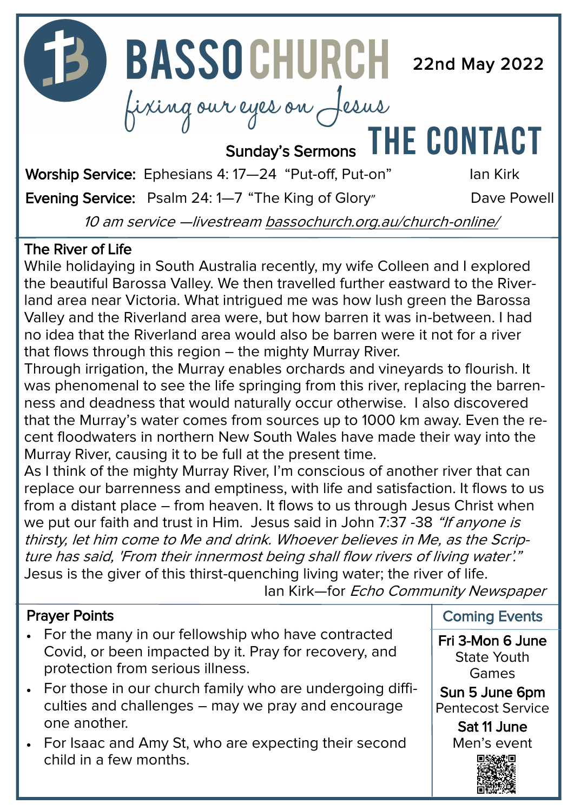**22 BASSOCHURCH** 22nd May 2022

fixing our eyes on Jesus<br>Sunday's Sermons THE CONTACT

Worship Service: Ephesians 4: 17-24 "Put-off, Put-on" lan Kirk

Evening Service: Psalm 24: 1-7 "The King of Glory" Dave Powell

10 am service —livestream [bassochurch.org.au/church](https://www.bassochurch.org.au/church-online/)-online/

#### The River of Life

While holidaying in South Australia recently, my wife Colleen and I explored the beautiful Barossa Valley. We then travelled further eastward to the Riverland area near Victoria. What intrigued me was how lush green the Barossa Valley and the Riverland area were, but how barren it was in-between. I had no idea that the Riverland area would also be barren were it not for a river that flows through this region – the mighty Murray River.

Through irrigation, the Murray enables orchards and vineyards to flourish. It was phenomenal to see the life springing from this river, replacing the barrenness and deadness that would naturally occur otherwise. I also discovered that the Murray's water comes from sources up to 1000 km away. Even the recent floodwaters in northern New South Wales have made their way into the Murray River, causing it to be full at the present time.

As I think of the mighty Murray River, I'm conscious of another river that can replace our barrenness and emptiness, with life and satisfaction. It flows to us from a distant place – from heaven. It flows to us through Jesus Christ when we put our faith and trust in Him. Jesus said in John 7:37 -38 "If anyone is thirsty, let him come to Me and drink. Whoever believes in Me, as the Scripture has said, 'From their innermost being shall flow rivers of living water'." Jesus is the giver of this thirst-quenching living water; the river of life.

Ian Kirk—for Echo Community Newspaper

#### Prayer Points

- For the many in our fellowship who have contracted Covid, or been impacted by it. Pray for recovery, and protection from serious illness.
- For those in our church family who are undergoing difficulties and challenges – may we pray and encourage one another.
- For Isaac and Amy St, who are expecting their second child in a few months.

Coming Events

Fri 3-Mon 6 June State Youth Games

Sun 5 June 6pm Pentecost Service

> Sat 11 June Men's event

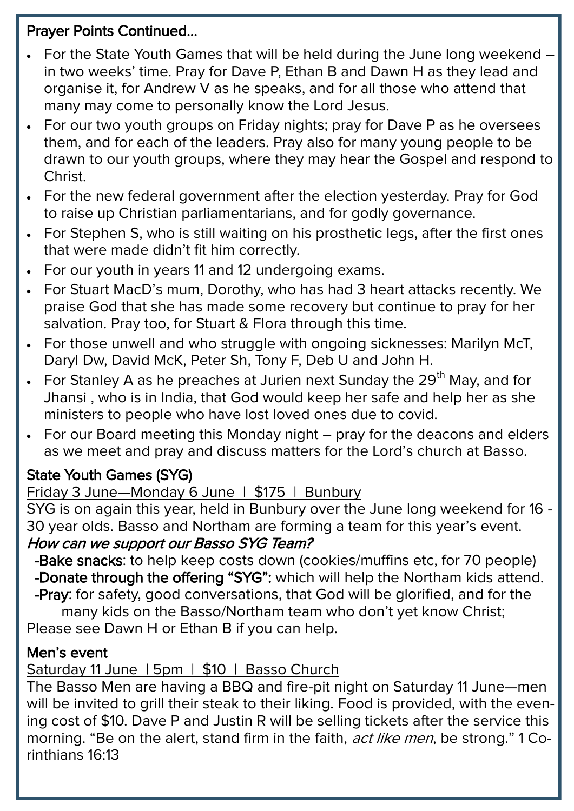#### Prayer Points Continued...

- For the State Youth Games that will be held during the June long weekend in two weeks' time. Pray for Dave P, Ethan B and Dawn H as they lead and organise it, for Andrew V as he speaks, and for all those who attend that many may come to personally know the Lord Jesus.
- For our two youth groups on Friday nights; pray for Daye P as he oversees them, and for each of the leaders. Pray also for many young people to be drawn to our youth groups, where they may hear the Gospel and respond to Christ.
- For the new federal government after the election yesterday. Pray for God to raise up Christian parliamentarians, and for godly governance.
- For Stephen S, who is still waiting on his prosthetic legs, after the first ones that were made didn't fit him correctly.
- For our youth in years 11 and 12 undergoing exams.
- For Stuart MacD's mum, Dorothy, who has had 3 heart attacks recently. We praise God that she has made some recovery but continue to pray for her salvation. Pray too, for Stuart & Flora through this time.
- For those unwell and who struggle with ongoing sicknesses: Marilyn McT, Daryl Dw, David McK, Peter Sh, Tony F, Deb U and John H.
- For Stanley A as he preaches at Jurien next Sunday the  $29<sup>th</sup>$  May, and for Jhansi , who is in India, that God would keep her safe and help her as she ministers to people who have lost loved ones due to covid.
- For our Board meeting this Monday night pray for the deacons and elders as we meet and pray and discuss matters for the Lord's church at Basso.

## State Youth Games (SYG)

## Friday 3 June—Monday 6 June | \$175 | Bunbury

SYG is on again this year, held in Bunbury over the June long weekend for 16 - 30 year olds. Basso and Northam are forming a team for this year's event. How can we support our Basso SYG Team?

 -Bake snacks: to help keep costs down (cookies/muffins etc, for 70 people) -Donate through the offering "SYG": which will help the Northam kids attend.

 -Pray: for safety, good conversations, that God will be glorified, and for the many kids on the Basso/Northam team who don't yet know Christ;

Please see Dawn H or Ethan B if you can help.

## Men's event

Saturday 11 June | 5pm | \$10 | Basso Church

The Basso Men are having a BBQ and fire-pit night on Saturday 11 June—men will be invited to grill their steak to their liking. Food is provided, with the evening cost of \$10. Dave P and Justin R will be selling tickets after the service this morning. "Be on the alert, stand firm in the faith, act like men, be strong." 1 Corinthians 16:13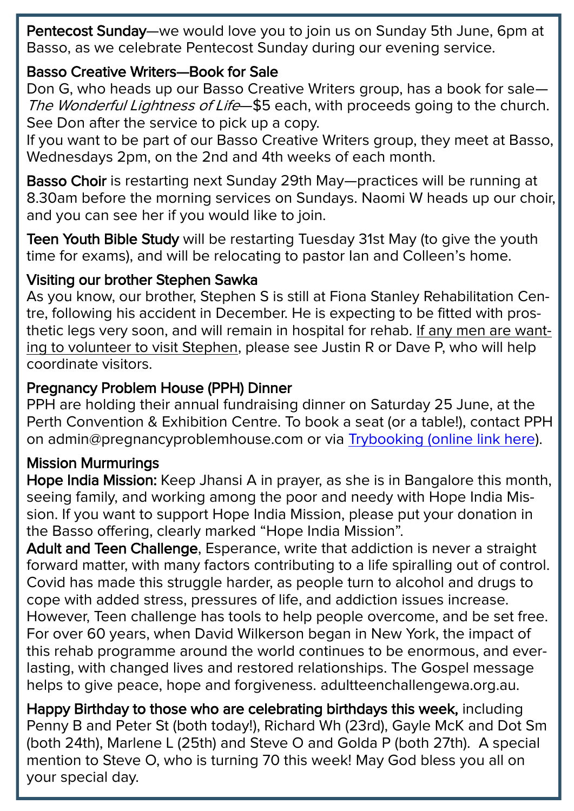Pentecost Sunday—we would love you to join us on Sunday 5th June, 6pm at Basso, as we celebrate Pentecost Sunday during our evening service.

#### Basso Creative Writers—Book for Sale

Don G, who heads up our Basso Creative Writers group, has a book for sale— The Wonderful Lightness of Life-\$5 each, with proceeds going to the church. See Don after the service to pick up a copy.

If you want to be part of our Basso Creative Writers group, they meet at Basso, Wednesdays 2pm, on the 2nd and 4th weeks of each month.

Basso Choir is restarting next Sunday 29th May—practices will be running at 8.30am before the morning services on Sundays. Naomi W heads up our choir, and you can see her if you would like to join.

Teen Youth Bible Study will be restarting Tuesday 31st May (to give the youth time for exams), and will be relocating to pastor Ian and Colleen's home.

#### Visiting our brother Stephen Sawka

As you know, our brother, Stephen S is still at Fiona Stanley Rehabilitation Centre, following his accident in December. He is expecting to be fitted with prosthetic legs very soon, and will remain in hospital for rehab. If any men are wanting to volunteer to visit Stephen, please see Justin R or Dave P, who will help coordinate visitors.

#### Pregnancy Problem House (PPH) Dinner

PPH are holding their annual fundraising dinner on Saturday 25 June, at the Perth Convention & Exhibition Centre. To book a seat (or a table!), contact PPH on admin@pregnancyproblemhouse.com or via [Trybooking \(online link here\)](https://www.trybooking.com/events/landing?eid=893876&).

#### Mission Murmurings

Hope India Mission: Keep Jhansi A in prayer, as she is in Bangalore this month, seeing family, and working among the poor and needy with Hope India Mission. If you want to support Hope India Mission, please put your donation in the Basso offering, clearly marked "Hope India Mission".

Adult and Teen Challenge, Esperance, write that addiction is never a straight forward matter, with many factors contributing to a life spiralling out of control. Covid has made this struggle harder, as people turn to alcohol and drugs to cope with added stress, pressures of life, and addiction issues increase. However, Teen challenge has tools to help people overcome, and be set free. For over 60 years, when David Wilkerson began in New York, the impact of this rehab programme around the world continues to be enormous, and everlasting, with changed lives and restored relationships. The Gospel message helps to give peace, hope and forgiveness. adultteenchallengewa.org.au.

Happy Birthday to those who are celebrating birthdays this week, including Penny B and Peter St (both today!), Richard Wh (23rd), Gayle McK and Dot Sm (both 24th), Marlene L (25th) and Steve O and Golda P (both 27th). A special mention to Steve O, who is turning 70 this week! May God bless you all on your special day.